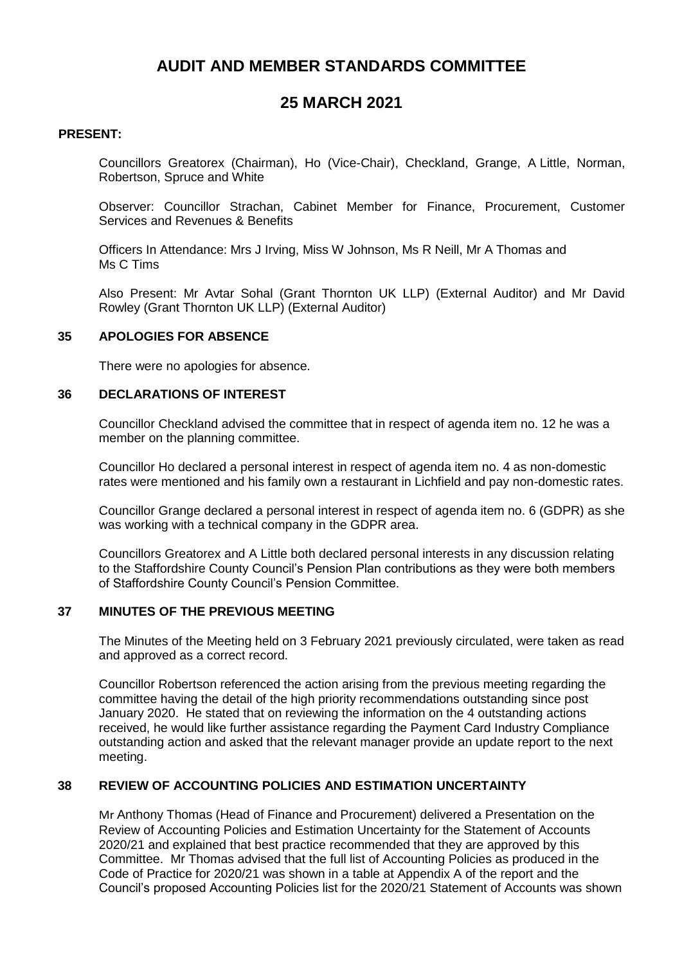# **AUDIT AND MEMBER STANDARDS COMMITTEE**

# **25 MARCH 2021**

#### **PRESENT:**

Councillors Greatorex (Chairman), Ho (Vice-Chair), Checkland, Grange, A Little, Norman, Robertson, Spruce and White

Observer: Councillor Strachan, Cabinet Member for Finance, Procurement, Customer Services and Revenues & Benefits

Officers In Attendance: Mrs J Irving, Miss W Johnson, Ms R Neill, Mr A Thomas and Ms C Tims

Also Present: Mr Avtar Sohal (Grant Thornton UK LLP) (External Auditor) and Mr David Rowley (Grant Thornton UK LLP) (External Auditor)

#### **35 APOLOGIES FOR ABSENCE**

There were no apologies for absence.

#### **36 DECLARATIONS OF INTEREST**

Councillor Checkland advised the committee that in respect of agenda item no. 12 he was a member on the planning committee.

Councillor Ho declared a personal interest in respect of agenda item no. 4 as non-domestic rates were mentioned and his family own a restaurant in Lichfield and pay non-domestic rates.

Councillor Grange declared a personal interest in respect of agenda item no. 6 (GDPR) as she was working with a technical company in the GDPR area.

Councillors Greatorex and A Little both declared personal interests in any discussion relating to the Staffordshire County Council's Pension Plan contributions as they were both members of Staffordshire County Council's Pension Committee.

#### **37 MINUTES OF THE PREVIOUS MEETING**

The Minutes of the Meeting held on 3 February 2021 previously circulated, were taken as read and approved as a correct record.

Councillor Robertson referenced the action arising from the previous meeting regarding the committee having the detail of the high priority recommendations outstanding since post January 2020. He stated that on reviewing the information on the 4 outstanding actions received, he would like further assistance regarding the Payment Card Industry Compliance outstanding action and asked that the relevant manager provide an update report to the next meeting.

### **38 REVIEW OF ACCOUNTING POLICIES AND ESTIMATION UNCERTAINTY**

Mr Anthony Thomas (Head of Finance and Procurement) delivered a Presentation on the Review of Accounting Policies and Estimation Uncertainty for the Statement of Accounts 2020/21 and explained that best practice recommended that they are approved by this Committee. Mr Thomas advised that the full list of Accounting Policies as produced in the Code of Practice for 2020/21 was shown in a table at Appendix A of the report and the Council's proposed Accounting Policies list for the 2020/21 Statement of Accounts was shown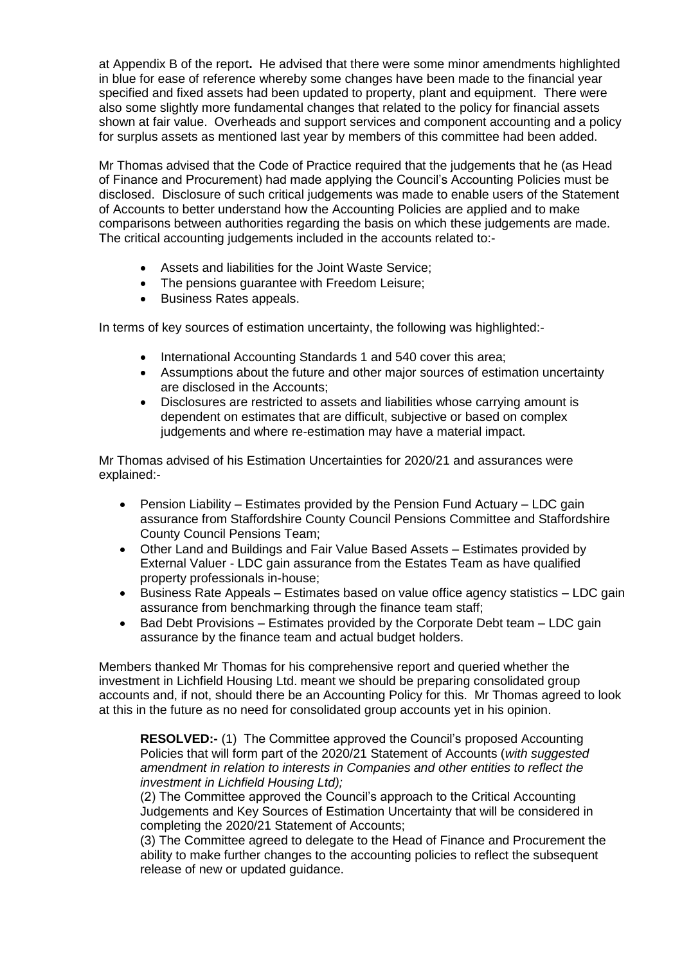at Appendix B of the report**.** He advised that there were some minor amendments highlighted in blue for ease of reference whereby some changes have been made to the financial year specified and fixed assets had been updated to property, plant and equipment. There were also some slightly more fundamental changes that related to the policy for financial assets shown at fair value. Overheads and support services and component accounting and a policy for surplus assets as mentioned last year by members of this committee had been added.

Mr Thomas advised that the Code of Practice required that the judgements that he (as Head of Finance and Procurement) had made applying the Council's Accounting Policies must be disclosed. Disclosure of such critical judgements was made to enable users of the Statement of Accounts to better understand how the Accounting Policies are applied and to make comparisons between authorities regarding the basis on which these judgements are made. The critical accounting judgements included in the accounts related to:-

- Assets and liabilities for the Joint Waste Service;
- The pensions quarantee with Freedom Leisure:
- Business Rates appeals.

In terms of key sources of estimation uncertainty, the following was highlighted:-

- International Accounting Standards 1 and 540 cover this area;
- Assumptions about the future and other major sources of estimation uncertainty are disclosed in the Accounts;
- Disclosures are restricted to assets and liabilities whose carrying amount is dependent on estimates that are difficult, subjective or based on complex judgements and where re-estimation may have a material impact.

Mr Thomas advised of his Estimation Uncertainties for 2020/21 and assurances were explained:-

- Pension Liability Estimates provided by the Pension Fund Actuary LDC gain assurance from Staffordshire County Council Pensions Committee and Staffordshire County Council Pensions Team;
- Other Land and Buildings and Fair Value Based Assets Estimates provided by External Valuer - LDC gain assurance from the Estates Team as have qualified property professionals in-house;
- Business Rate Appeals Estimates based on value office agency statistics LDC gain assurance from benchmarking through the finance team staff;
- $\bullet$  Bad Debt Provisions Estimates provided by the Corporate Debt team LDC gain assurance by the finance team and actual budget holders.

Members thanked Mr Thomas for his comprehensive report and queried whether the investment in Lichfield Housing Ltd. meant we should be preparing consolidated group accounts and, if not, should there be an Accounting Policy for this. Mr Thomas agreed to look at this in the future as no need for consolidated group accounts yet in his opinion.

**RESOLVED:-** (1) The Committee approved the Council's proposed Accounting Policies that will form part of the 2020/21 Statement of Accounts (*with suggested amendment in relation to interests in Companies and other entities to reflect the investment in Lichfield Housing Ltd);*

(2) The Committee approved the Council's approach to the Critical Accounting Judgements and Key Sources of Estimation Uncertainty that will be considered in completing the 2020/21 Statement of Accounts;

(3) The Committee agreed to delegate to the Head of Finance and Procurement the ability to make further changes to the accounting policies to reflect the subsequent release of new or updated guidance.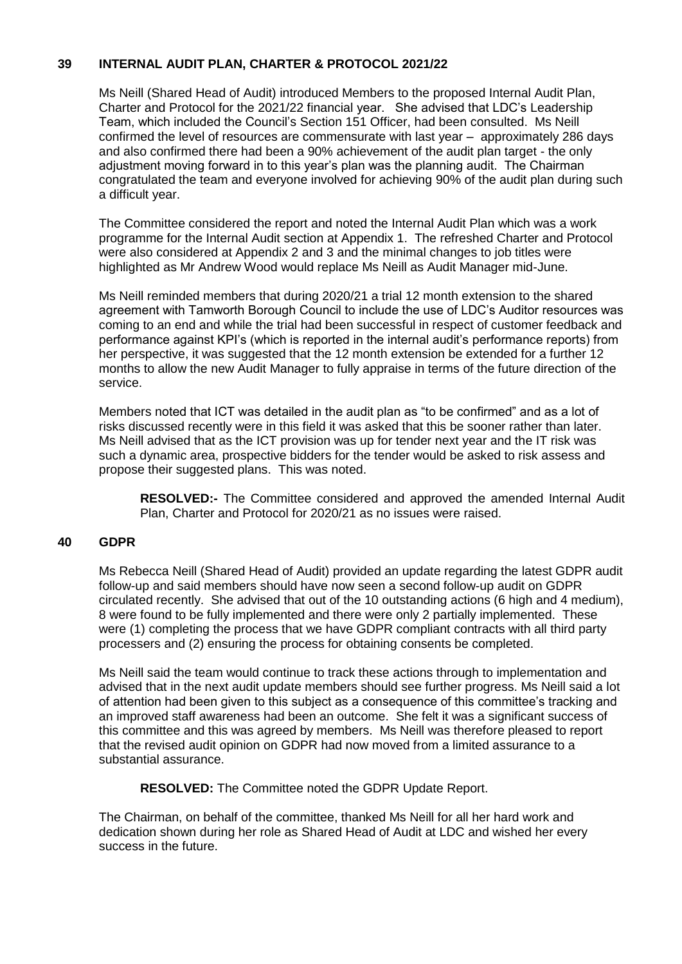## **39 INTERNAL AUDIT PLAN, CHARTER & PROTOCOL 2021/22**

Ms Neill (Shared Head of Audit) introduced Members to the proposed Internal Audit Plan, Charter and Protocol for the 2021/22 financial year. She advised that LDC's Leadership Team, which included the Council's Section 151 Officer, had been consulted. Ms Neill confirmed the level of resources are commensurate with last year – approximately 286 days and also confirmed there had been a 90% achievement of the audit plan target - the only adjustment moving forward in to this year's plan was the planning audit. The Chairman congratulated the team and everyone involved for achieving 90% of the audit plan during such a difficult year.

The Committee considered the report and noted the Internal Audit Plan which was a work programme for the Internal Audit section at Appendix 1. The refreshed Charter and Protocol were also considered at Appendix 2 and 3 and the minimal changes to job titles were highlighted as Mr Andrew Wood would replace Ms Neill as Audit Manager mid-June.

Ms Neill reminded members that during 2020/21 a trial 12 month extension to the shared agreement with Tamworth Borough Council to include the use of LDC's Auditor resources was coming to an end and while the trial had been successful in respect of customer feedback and performance against KPI's (which is reported in the internal audit's performance reports) from her perspective, it was suggested that the 12 month extension be extended for a further 12 months to allow the new Audit Manager to fully appraise in terms of the future direction of the service.

Members noted that ICT was detailed in the audit plan as "to be confirmed" and as a lot of risks discussed recently were in this field it was asked that this be sooner rather than later. Ms Neill advised that as the ICT provision was up for tender next year and the IT risk was such a dynamic area, prospective bidders for the tender would be asked to risk assess and propose their suggested plans. This was noted.

**RESOLVED:-** The Committee considered and approved the amended Internal Audit Plan, Charter and Protocol for 2020/21 as no issues were raised.

### **40 GDPR**

Ms Rebecca Neill (Shared Head of Audit) provided an update regarding the latest GDPR audit follow-up and said members should have now seen a second follow-up audit on GDPR circulated recently. She advised that out of the 10 outstanding actions (6 high and 4 medium), 8 were found to be fully implemented and there were only 2 partially implemented. These were (1) completing the process that we have GDPR compliant contracts with all third party processers and (2) ensuring the process for obtaining consents be completed.

Ms Neill said the team would continue to track these actions through to implementation and advised that in the next audit update members should see further progress. Ms Neill said a lot of attention had been given to this subject as a consequence of this committee's tracking and an improved staff awareness had been an outcome. She felt it was a significant success of this committee and this was agreed by members. Ms Neill was therefore pleased to report that the revised audit opinion on GDPR had now moved from a limited assurance to a substantial assurance.

**RESOLVED:** The Committee noted the GDPR Update Report.

The Chairman, on behalf of the committee, thanked Ms Neill for all her hard work and dedication shown during her role as Shared Head of Audit at LDC and wished her every success in the future.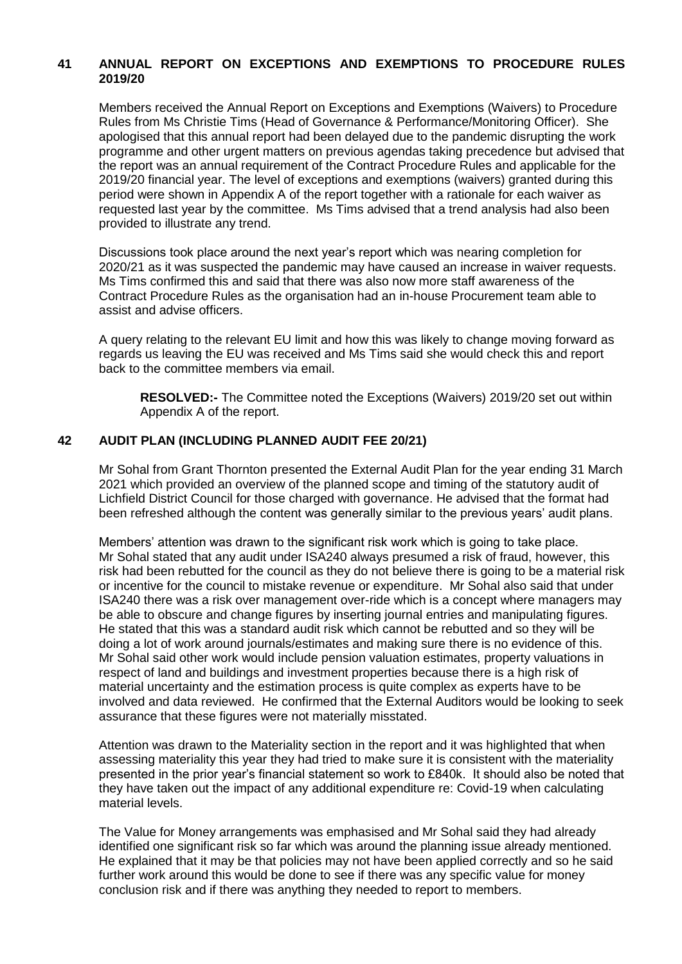## **41 ANNUAL REPORT ON EXCEPTIONS AND EXEMPTIONS TO PROCEDURE RULES 2019/20**

Members received the Annual Report on Exceptions and Exemptions (Waivers) to Procedure Rules from Ms Christie Tims (Head of Governance & Performance/Monitoring Officer). She apologised that this annual report had been delayed due to the pandemic disrupting the work programme and other urgent matters on previous agendas taking precedence but advised that the report was an annual requirement of the Contract Procedure Rules and applicable for the 2019/20 financial year. The level of exceptions and exemptions (waivers) granted during this period were shown in Appendix A of the report together with a rationale for each waiver as requested last year by the committee. Ms Tims advised that a trend analysis had also been provided to illustrate any trend.

Discussions took place around the next year's report which was nearing completion for 2020/21 as it was suspected the pandemic may have caused an increase in waiver requests. Ms Tims confirmed this and said that there was also now more staff awareness of the Contract Procedure Rules as the organisation had an in-house Procurement team able to assist and advise officers.

A query relating to the relevant EU limit and how this was likely to change moving forward as regards us leaving the EU was received and Ms Tims said she would check this and report back to the committee members via email.

**RESOLVED:-** The Committee noted the Exceptions (Waivers) 2019/20 set out within Appendix A of the report.

### **42 AUDIT PLAN (INCLUDING PLANNED AUDIT FEE 20/21)**

Mr Sohal from Grant Thornton presented the External Audit Plan for the year ending 31 March 2021 which provided an overview of the planned scope and timing of the statutory audit of Lichfield District Council for those charged with governance. He advised that the format had been refreshed although the content was generally similar to the previous years' audit plans.

Members' attention was drawn to the significant risk work which is going to take place. Mr Sohal stated that any audit under ISA240 always presumed a risk of fraud, however, this risk had been rebutted for the council as they do not believe there is going to be a material risk or incentive for the council to mistake revenue or expenditure. Mr Sohal also said that under ISA240 there was a risk over management over-ride which is a concept where managers may be able to obscure and change figures by inserting journal entries and manipulating figures. He stated that this was a standard audit risk which cannot be rebutted and so they will be doing a lot of work around journals/estimates and making sure there is no evidence of this. Mr Sohal said other work would include pension valuation estimates, property valuations in respect of land and buildings and investment properties because there is a high risk of material uncertainty and the estimation process is quite complex as experts have to be involved and data reviewed. He confirmed that the External Auditors would be looking to seek assurance that these figures were not materially misstated.

Attention was drawn to the Materiality section in the report and it was highlighted that when assessing materiality this year they had tried to make sure it is consistent with the materiality presented in the prior year's financial statement so work to £840k. It should also be noted that they have taken out the impact of any additional expenditure re: Covid-19 when calculating material levels.

The Value for Money arrangements was emphasised and Mr Sohal said they had already identified one significant risk so far which was around the planning issue already mentioned. He explained that it may be that policies may not have been applied correctly and so he said further work around this would be done to see if there was any specific value for money conclusion risk and if there was anything they needed to report to members.